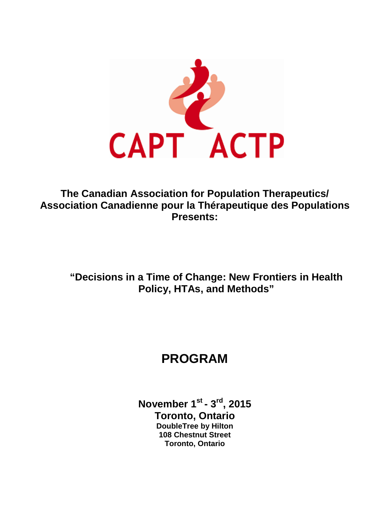

**The Canadian Association for Population Therapeutics/ Association Canadienne pour la Thérapeutique des Populations Presents:**

**"Decisions in a Time of Change: New Frontiers in Health Policy, HTAs, and Methods"**

## **PROGRAM**

**November 1st - 3rd , 2015 Toronto, Ontario DoubleTree by Hilton 108 Chestnut Street Toronto, Ontario**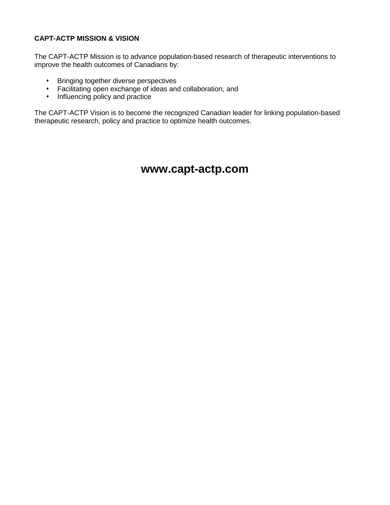#### **CAPT-ACTP MISSION & VISION**

The CAPT-ACTP Mission is to advance population-based research of therapeutic interventions to improve the health outcomes of Canadians by:

- Bringing together diverse perspectives
- Facilitating open exchange of ideas and collaboration, and
- Influencing policy and practice

The CAPT-ACTP Vision is to become the recognized Canadian leader for linking population-based therapeutic research, policy and practice to optimize health outcomes.

### **[www.capt-actp.com](http://www.capt-actp.com/)**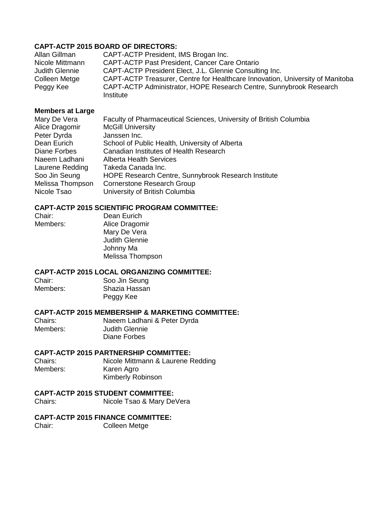#### **CAPT-ACTP 2015 BOARD OF DIRECTORS:**

| Allan Gillman   | CAPT-ACTP President, IMS Brogan Inc.                                          |
|-----------------|-------------------------------------------------------------------------------|
| Nicole Mittmann | <b>CAPT-ACTP Past President, Cancer Care Ontario</b>                          |
| Judith Glennie  | CAPT-ACTP President Elect, J.L. Glennie Consulting Inc.                       |
| Colleen Metge   | CAPT-ACTP Treasurer, Centre for Healthcare Innovation, University of Manitoba |
| Peggy Kee       | CAPT-ACTP Administrator, HOPE Research Centre, Sunnybrook Research            |
|                 | Institute                                                                     |

#### **Members at Large**

| Mary De Vera     | Faculty of Pharmaceutical Sciences, University of British Columbia |
|------------------|--------------------------------------------------------------------|
| Alice Dragomir   | <b>McGill University</b>                                           |
| Peter Dyrda      | Janssen Inc.                                                       |
| Dean Eurich      | School of Public Health, University of Alberta                     |
| Diane Forbes     | Canadian Institutes of Health Research                             |
| Naeem Ladhani    | <b>Alberta Health Services</b>                                     |
| Laurene Redding  | Takeda Canada Inc.                                                 |
| Soo Jin Seung    | HOPE Research Centre, Sunnybrook Research Institute                |
| Melissa Thompson | <b>Cornerstone Research Group</b>                                  |
| Nicole Tsao      | University of British Columbia                                     |
|                  |                                                                    |

#### **CAPT-ACTP 2015 SCIENTIFIC PROGRAM COMMITTEE:**

Chair: Dean Eurich<br>
Members: Alice Dragom Alice Dragomir Mary De Vera Judith Glennie Johnny Ma Melissa Thompson

# **CAPT-ACTP 2015 LOCAL ORGANIZING COMMITTEE:**

Chair: Soo Jin Seung<br>
Members: Shazia Hassan Shazia Hassan Peggy Kee

# **CAPT-ACTP 2015 MEMBERSHIP & MARKETING COMMITTEE:**

Naeem Ladhani & Peter Dyrda Members: Judith Glennie Diane Forbes

#### **CAPT-ACTP 2015 PARTNERSHIP COMMITTEE:**

| Chairs:  | Nicole Mittmann & Laurene Redding |
|----------|-----------------------------------|
| Members: | Karen Agro                        |
|          | Kimberly Robinson                 |

## **CAPT-ACTP 2015 STUDENT COMMITTEE:**

Nicole Tsao & Mary DeVera

# **CAPT-ACTP 2015 FINANCE COMMITTEE:**

Colleen Metge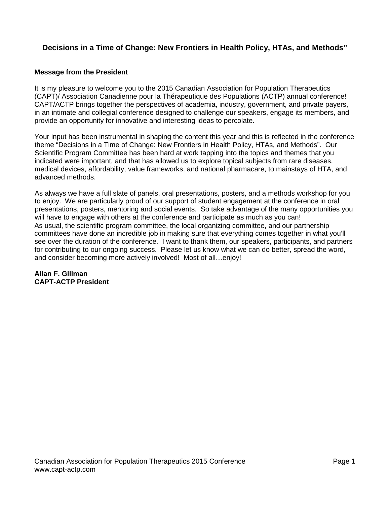### **Decisions in a Time of Change: New Frontiers in Health Policy, HTAs, and Methods"**

#### **Message from the President**

It is my pleasure to welcome you to the 2015 Canadian Association for Population Therapeutics (CAPT)/ Association Canadienne pour la Thérapeutique des Populations (ACTP) annual conference! CAPT/ACTP brings together the perspectives of academia, industry, government, and private payers, in an intimate and collegial conference designed to challenge our speakers, engage its members, and provide an opportunity for innovative and interesting ideas to percolate.

Your input has been instrumental in shaping the content this year and this is reflected in the conference theme "Decisions in a Time of Change: New Frontiers in Health Policy, HTAs, and Methods". Our Scientific Program Committee has been hard at work tapping into the topics and themes that you indicated were important, and that has allowed us to explore topical subjects from rare diseases, medical devices, affordability, value frameworks, and national pharmacare, to mainstays of HTA, and advanced methods.

As always we have a full slate of panels, oral presentations, posters, and a methods workshop for you to enjoy. We are particularly proud of our support of student engagement at the conference in oral presentations, posters, mentoring and social events. So take advantage of the many opportunities you will have to engage with others at the conference and participate as much as you can! As usual, the scientific program committee, the local organizing committee, and our partnership committees have done an incredible job in making sure that everything comes together in what you'll see over the duration of the conference. I want to thank them, our speakers, participants, and partners for contributing to our ongoing success. Please let us know what we can do better, spread the word, and consider becoming more actively involved! Most of all…enjoy!

**Allan F. Gillman CAPT-ACTP President**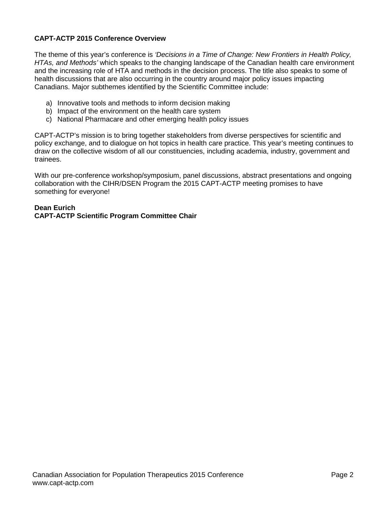#### **CAPT-ACTP 2015 Conference Overview**

The theme of this year's conference is *'Decisions in a Time of Change: New Frontiers in Health Policy, HTAs, and Methods'* which speaks to the changing landscape of the Canadian health care environment and the increasing role of HTA and methods in the decision process. The title also speaks to some of health discussions that are also occurring in the country around major policy issues impacting Canadians. Major subthemes identified by the Scientific Committee include:

- a) Innovative tools and methods to inform decision making
- b) Impact of the environment on the health care system
- c) National Pharmacare and other emerging health policy issues

CAPT-ACTP's mission is to bring together stakeholders from diverse perspectives for scientific and policy exchange, and to dialogue on hot topics in health care practice. This year's meeting continues to draw on the collective wisdom of all our constituencies, including academia, industry, government and trainees.

With our pre-conference workshop/symposium, panel discussions, abstract presentations and ongoing collaboration with the CIHR/DSEN Program the 2015 CAPT-ACTP meeting promises to have something for everyone!

#### **Dean Eurich CAPT-ACTP Scientific Program Committee Chair**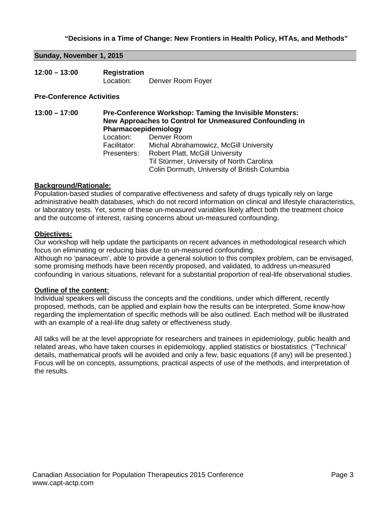#### **"Decisions in a Time of Change: New Frontiers in Health Policy, HTAs, and Methods"**

#### **Sunday, November 1, 2015**

**12:00 – 13:00 Registration** Location: Denver Room Foyer

#### **Pre-Conference Activities**

**13:00 – 17:00 Pre-Conference Workshop: Taming the Invisible Monsters: New Approaches to Control for Unmeasured Confounding in Pharmacoepidemiology** Location: Denver Room Facilitator: Michal Abrahamowicz, McGill University Presenters: Robert Platt, McGill University Til Stürmer, University of North Carolina Colin Dormuth, University of British Columbia

#### **Background/Rationale:**

Population-based studies of comparative effectiveness and safety of drugs typically rely on large administrative health databases, which do not record information on clinical and lifestyle characteristics, or laboratory tests. Yet, some of these un-measured variables likely affect both the treatment choice and the outcome of interest, raising concerns about un-measured confounding.

#### **Objectives:**

Our workshop will help update the participants on recent advances in methodological research which focus on eliminating or reducing bias due to un-measured confounding.

Although no 'panaceum', able to provide a general solution to this complex problem, can be envisaged, some promising methods have been recently proposed, and validated, to address un-measured confounding in various situations, relevant for a substantial proportion of real-life observational studies.

#### **Outline of the content:**

Individual speakers will discuss the concepts and the conditions, under which different, recently proposed, methods, can be applied and explain how the results can be interpreted. Some know-how regarding the implementation of specific methods will be also outlined. Each method will be illustrated with an example of a real-life drug safety or effectiveness study.

All talks will be at the level appropriate for researchers and trainees in epidemiology, public health and related areas, who have taken courses in epidemiology, applied statistics or biostatistics. ("Technical' details, mathematical proofs will be avoided and only a few, basic equations (if any) will be presented.) Focus will be on concepts, assumptions, practical aspects of use of the methods, and interpretation of the results.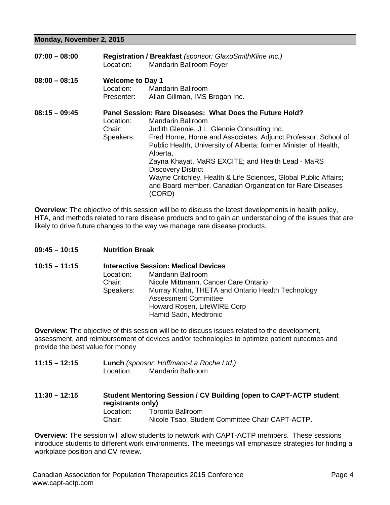#### **Monday, November 2, 2015**

| $07:00 - 08:00$ | Location:               | Registration / Breakfast (sponsor: GlaxoSmithKline Inc.)<br><b>Mandarin Ballroom Foyer</b>                                             |
|-----------------|-------------------------|----------------------------------------------------------------------------------------------------------------------------------------|
| $08:00 - 08:15$ | <b>Welcome to Day 1</b> |                                                                                                                                        |
|                 | Location:               | Mandarin Ballroom                                                                                                                      |
|                 | Presenter:              | Allan Gillman, IMS Brogan Inc.                                                                                                         |
| $08:15 - 09:45$ |                         | Panel Session: Rare Diseases: What Does the Future Hold?                                                                               |
|                 | Location:               | Mandarin Ballroom                                                                                                                      |
|                 | Chair:                  | Judith Glennie, J.L. Glennie Consulting Inc.                                                                                           |
|                 | Speakers:               | Fred Horne, Horne and Associates; Adjunct Professor, School of                                                                         |
|                 |                         | Public Health, University of Alberta; former Minister of Health,<br>Alberta,                                                           |
|                 |                         | Zayna Khayat, MaRS EXCITE; and Health Lead - MaRS<br><b>Discovery District</b>                                                         |
|                 |                         | Wayne Critchley, Health & Life Sciences, Global Public Affairs;<br>and Board member, Canadian Organization for Rare Diseases<br>(CORD) |

**Overview**: The objective of this session will be to discuss the latest developments in health policy, HTA, and methods related to rare disease products and to gain an understanding of the issues that are likely to drive future changes to the way we manage rare disease products.

#### **09:45 – 10:15 Nutrition Break**

**10:15 – 11:15 Interactive Session: Medical Devices** Location: Mandarin Ballroom Chair: Nicole Mittmann, Cancer Care Ontario Speakers: Murray Krahn, THETA and Ontario Health Technology Assessment Committee Howard Rosen, LifeWIRE Corp Hamid Sadri, Medtronic

**Overview**: The objective of this session will be to discuss issues related to the development, assessment, and reimbursement of devices and/or technologies to optimize patient outcomes and provide the best value for money

**11:15 – 12:15 Lunch** *(sponsor: Hoffmann-La Roche Ltd.)* Location: Mandarin Ballroom

**11:30 – 12:15 Student Mentoring Session / CV Building (open to CAPT-ACTP student registrants only)** Toronto Ballroom Chair: Nicole Tsao, Student Committee Chair CAPT-ACTP.

**Overview**: The session will allow students to network with CAPT-ACTP members. These sessions introduce students to different work environments. The meetings will emphasize strategies for finding a workplace position and CV review.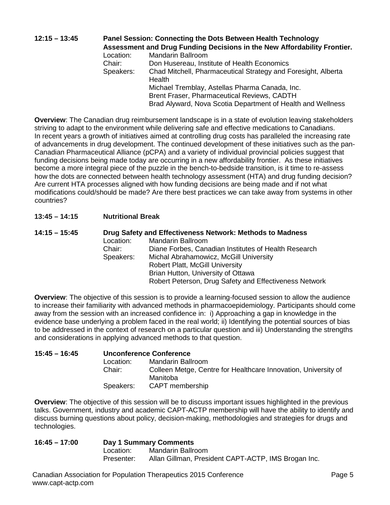**12:15 – 13:45 Panel Session: Connecting the Dots Between Health Technology Assessment and Drug Funding Decisions in the New Affordability Frontier.** Location: Mandarin Ballroom Chair: Don Husereau, Institute of Health Economics Speakers: Chad Mitchell, Pharmaceutical Strategy and Foresight, Alberta Health Michael Tremblay, Astellas Pharma Canada, Inc. Brent Fraser, Pharmaceutical Reviews, CADTH Brad Alyward, Nova Scotia Department of Health and Wellness

**Overview**: The Canadian drug reimbursement landscape is in a state of evolution leaving stakeholders striving to adapt to the environment while delivering safe and effective medications to Canadians. In recent years a growth of initiatives aimed at controlling drug costs has paralleled the increasing rate of advancements in drug development. The continued development of these initiatives such as the pan-Canadian Pharmaceutical Alliance (pCPA) and a variety of individual provincial policies suggest that funding decisions being made today are occurring in a new affordability frontier. As these initiatives become a more integral piece of the puzzle in the bench-to-bedside transition, is it time to re-assess how the dots are connected between health technology assessment (HTA) and drug funding decision? Are current HTA processes aligned with how funding decisions are being made and if not what modifications could/should be made? Are there best practices we can take away from systems in other countries?

**13:45 – 14:15 Nutritional Break**

| $14:15 - 15:45$ | Drug Safety and Effectiveness Network: Methods to Madness |                                                        |  |
|-----------------|-----------------------------------------------------------|--------------------------------------------------------|--|
|                 | Location:                                                 | Mandarin Ballroom                                      |  |
|                 | Chair:                                                    | Diane Forbes, Canadian Institutes of Health Research   |  |
|                 | Speakers:                                                 | Michal Abrahamowicz, McGill University                 |  |
|                 |                                                           | <b>Robert Platt, McGill University</b>                 |  |
|                 |                                                           | Brian Hutton, University of Ottawa                     |  |
|                 |                                                           | Robert Peterson, Drug Safety and Effectiveness Network |  |

**Overview**: The objective of this session is to provide a learning-focused session to allow the audience to increase their familiarity with advanced methods in pharmacoepidemiology. Participants should come away from the session with an increased confidence in: i) Approaching a gap in knowledge in the evidence base underlying a problem faced in the real world; ii) Identifying the potential sources of bias to be addressed in the context of research on a particular question and iii) Understanding the strengths and considerations in applying advanced methods to that question.

| $15:45 - 16:45$ |           | <b>Unconference Conference</b>                                             |  |  |
|-----------------|-----------|----------------------------------------------------------------------------|--|--|
|                 | Location: | Mandarin Ballroom                                                          |  |  |
|                 | Chair:    | Colleen Metge, Centre for Healthcare Innovation, University of<br>Manitoba |  |  |
|                 | Speakers: | CAPT membership                                                            |  |  |

**Overview:** The objective of this session will be to discuss important issues highlighted in the previous talks. Government, industry and academic CAPT-ACTP membership will have the ability to identify and discuss burning questions about policy, decision-making, methodologies and strategies for drugs and technologies.

| $16:45 - 17:00$ | Day 1 Summary Comments |                                                     |
|-----------------|------------------------|-----------------------------------------------------|
|                 | Location:              | Mandarin Ballroom                                   |
|                 | Presenter:             | Allan Gillman, President CAPT-ACTP, IMS Brogan Inc. |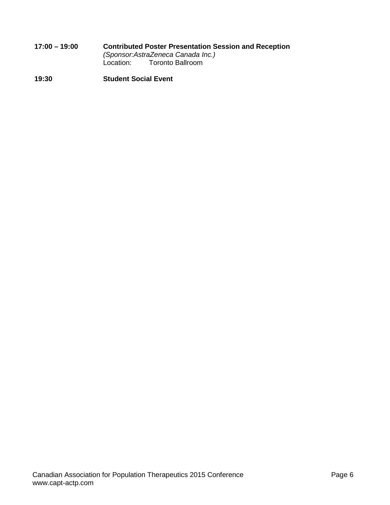- **17:00 – 19:00 Contributed Poster Presentation Session and Reception** *(Sponsor:AstraZeneca Canada Inc.)* Location: Toronto Ballroom
- **19:30 Student Social Event**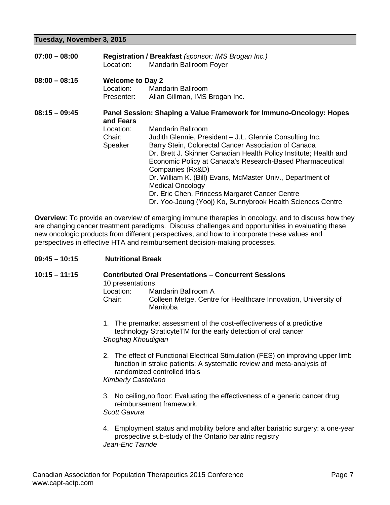#### **Tuesday, November 3, 2015**

| $07:00 - 08:00$ | Location:               | Registration / Breakfast (sponsor: IMS Brogan Inc.)<br><b>Mandarin Ballroom Foyer</b> |
|-----------------|-------------------------|---------------------------------------------------------------------------------------|
| $08:00 - 08:15$ | <b>Welcome to Day 2</b> |                                                                                       |
|                 | Location:               | <b>Mandarin Ballroom</b>                                                              |
|                 | Presenter:              | Allan Gillman, IMS Brogan Inc.                                                        |
| $08:15 - 09:45$ | and Fears               | Panel Session: Shaping a Value Framework for Immuno-Oncology: Hopes                   |
|                 | Location:               | Mandarin Ballroom                                                                     |
|                 | Chair:                  | Judith Glennie, President - J.L. Glennie Consulting Inc.                              |
|                 | Speaker                 | Barry Stein, Colorectal Cancer Association of Canada                                  |
|                 |                         | Dr. Brett J. Skinner Canadian Health Policy Institute; Health and                     |
|                 |                         | Economic Policy at Canada's Research-Based Pharmaceutical                             |
|                 |                         | Companies (Rx&D)                                                                      |
|                 |                         | Dr. William K. (Bill) Evans, McMaster Univ., Department of                            |
|                 |                         | <b>Medical Oncology</b>                                                               |
|                 |                         | Dr. Eric Chen, Princess Margaret Cancer Centre                                        |
|                 |                         | Dr. Yoo-Joung (Yooj) Ko, Sunnybrook Health Sciences Centre                            |

**Overview**: To provide an overview of emerging immune therapies in oncology, and to discuss how they are changing cancer treatment paradigms. Discuss challenges and opportunities in evaluating these new oncologic products from different perspectives, and how to incorporate these values and perspectives in effective HTA and reimbursement decision-making processes.

- **09:45 – 10:15 Nutritional Break**
- **10:15 – 11:15 Contributed Oral Presentations – Concurrent Sessions** 10 presentations Location: Mandarin Ballroom A Chair: Colleen Metge, Centre for Healthcare Innovation, University of Manitoba
	- 1. The premarket assessment of the cost-effectiveness of a predictive technology StraticyteTM for the early detection of oral cancer *Shoghag Khoudigian*
	- 2. The effect of Functional Electrical Stimulation (FES) on improving upper limb function in stroke patients: A systematic review and meta-analysis of randomized controlled trials *Kimberly Castellano*
	- 3. No ceiling,no floor: Evaluating the effectiveness of a generic cancer drug reimbursement framework. *Scott Gavura*
	- 4. Employment status and mobility before and after bariatric surgery: a one-year prospective sub-study of the Ontario bariatric registry *Jean-Eric Tarride*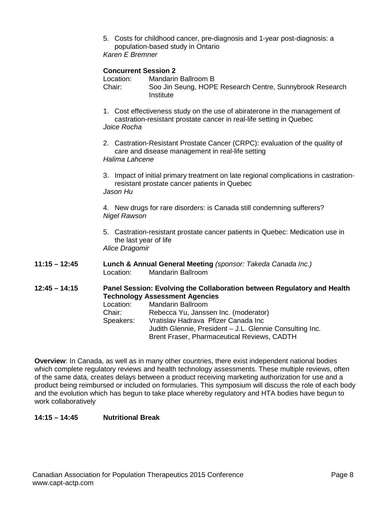5. Costs for childhood cancer, pre-diagnosis and 1-year post-diagnosis: a population-based study in Ontario *Karen E Bremner* 

#### **Concurrent Session 2**

Location: Mandarin Ballroom B Chair: Soo Jin Seung, HOPE Research Centre, Sunnybrook Research Institute

- 1. Cost effectiveness study on the use of abiraterone in the management of castration-resistant prostate cancer in real-life setting in Quebec *Joice Rocha*
- 2. Castration-Resistant Prostate Cancer (CRPC): evaluation of the quality of care and disease management in real-life setting *Halima Lahcene*
- 3. Impact of initial primary treatment on late regional complications in castrationresistant prostate cancer patients in Quebec *Jason Hu*

4. New drugs for rare disorders: is Canada still condemning sufferers? *Nigel Rawson* 

- 5. Castration-resistant prostate cancer patients in Quebec: Medication use in the last year of life *Alice Dragomir*
- **11:15 – 12:45 Lunch & Annual General Meeting** *(sponsor: Takeda Canada Inc.)* Location: Mandarin Ballroom

**12:45 – 14:15 Panel Session: Evolving the Collaboration between Regulatory and Health Technology Assessment Agencies**

| Mandarin Ballroom                                        |
|----------------------------------------------------------|
| Rebecca Yu, Janssen Inc. (moderator)                     |
| Vratislav Hadrava Pfizer Canada Inc                      |
| Judith Glennie, President - J.L. Glennie Consulting Inc. |
| Brent Fraser, Pharmaceutical Reviews, CADTH              |
|                                                          |

**Overview**: In Canada, as well as in many other countries, there exist independent national bodies which complete regulatory reviews and health technology assessments. These multiple reviews, often of the same data, creates delays between a product receiving marketing authorization for use and a product being reimbursed or included on formularies. This symposium will discuss the role of each body and the evolution which has begun to take place whereby regulatory and HTA bodies have begun to work collaboratively

#### **14:15 – 14:45 Nutritional Break**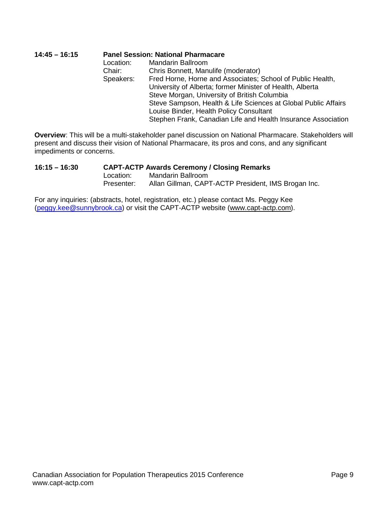#### **14:45 – 16:15 Panel Session: National Pharmacare** Mandarin Ballroom Chair: Chris Bonnett, Manulife (moderator) Speakers: Fred Horne, Horne and Associates; School of Public Health, University of Alberta; former Minister of Health, Alberta Steve Morgan, University of British Columbia Steve Sampson, Health & Life Sciences at Global Public Affairs Louise Binder, Health Policy Consultant Stephen Frank, Canadian Life and Health Insurance Association

**Overview**: This will be a multi-stakeholder panel discussion on National Pharmacare. Stakeholders will present and discuss their vision of National Pharmacare, its pros and cons, and any significant impediments or concerns.

| 16:15 – 16:30 | <b>CAPT-ACTP Awards Ceremony / Closing Remarks</b> |                                                     |  |
|---------------|----------------------------------------------------|-----------------------------------------------------|--|
|               | Location:                                          | Mandarin Ballroom                                   |  |
|               | Presenter:                                         | Allan Gillman, CAPT-ACTP President, IMS Brogan Inc. |  |

For any inquiries: (abstracts, hotel, registration, etc.) please contact Ms. Peggy Kee [\(peggy.kee@sunnybrook.ca\)](mailto:peggy.kee@sunnybrook.ca) or visit the CAPT-ACTP website [\(www.capt-actp.com\)](http://www.capt-actp.com/).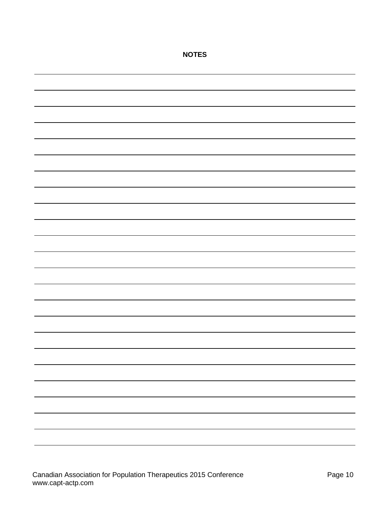| <b>NOTES</b> |
|--------------|
|              |
|              |
|              |
|              |
|              |
|              |
|              |
|              |
|              |
|              |
|              |
|              |
|              |
|              |
|              |
|              |
|              |
|              |
|              |
|              |
|              |
|              |
|              |
|              |
|              |
|              |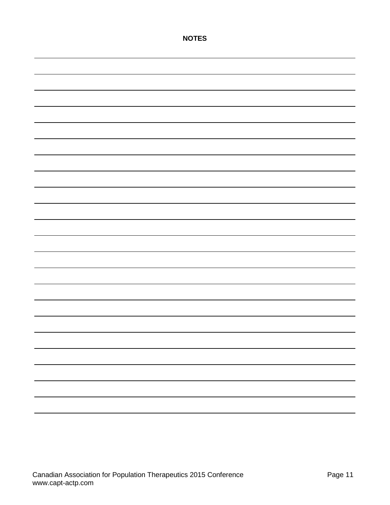| <b>NOTES</b> |
|--------------|
|              |
|              |
|              |
|              |
|              |
|              |
|              |
|              |
|              |
|              |
|              |
|              |
|              |
|              |
|              |
|              |
|              |
|              |
|              |
|              |
|              |
|              |
|              |
|              |
|              |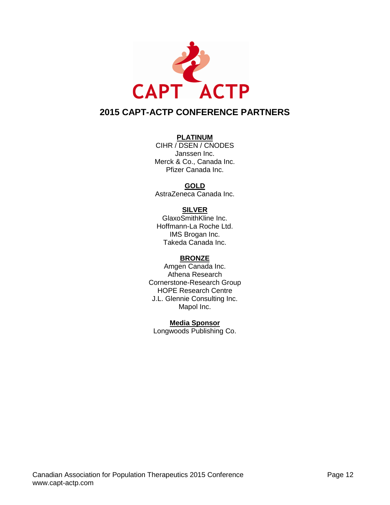

### **2015 CAPT-ACTP CONFERENCE PARTNERS**

#### **PLATINUM**

CIHR / DSEN / CNODES Janssen Inc. Merck & Co., Canada Inc. Pfizer Canada Inc.

**GOLD** AstraZeneca Canada Inc.

**SILVER** GlaxoSmithKline Inc. Hoffmann-La Roche Ltd. IMS Brogan Inc. Takeda Canada Inc.

#### **BRONZE**

Amgen Canada Inc. Athena Research Cornerstone-Research Group HOPE Research Centre J.L. Glennie Consulting Inc. Mapol Inc.

**Media Sponsor** Longwoods Publishing Co.